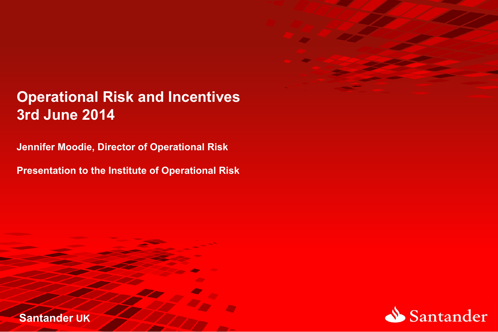

### **Operational Risk and Incentives 3rd June 2014**

**Jennifer Moodie, Director of Operational Risk** 

**Presentation to the Institute of Operational Risk** 

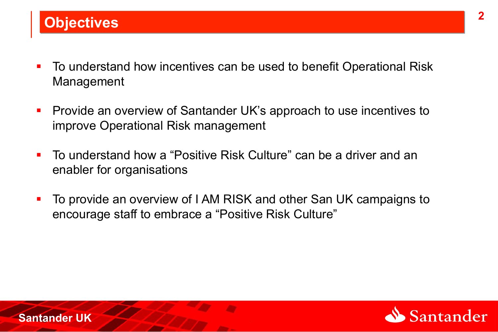- To understand how incentives can be used to benefit Operational Risk Management
- **Provide an overview of Santander UK's approach to use incentives to** improve Operational Risk management
- ! To understand how a "Positive Risk Culture" can be a driver and an enabler for organisations
- ! To provide an overview of I AM RISK and other San UK campaigns to encourage staff to embrace a "Positive Risk Culture"

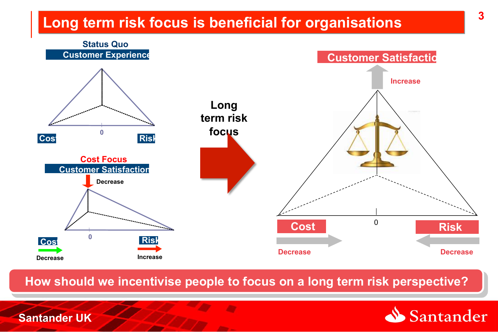### **Long term risk focus is beneficial for organisations**



**How should we incentivise people to focus on a long term risk perspective?** 

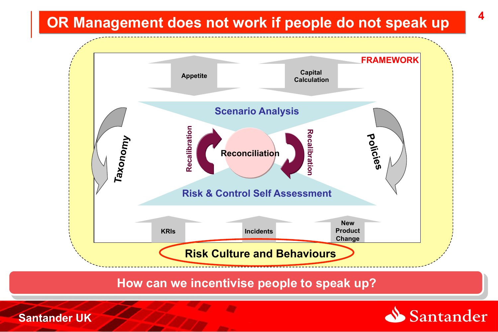## **OR Management does not work if people do not speak up**



**How can we incentivise people to speak up?** 

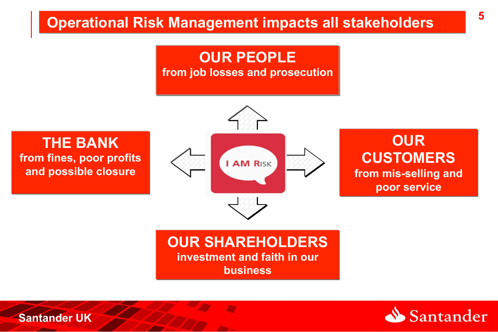### **5 Operational Risk Management impacts all stakeholders**

#### **OUR PEOPLE from job losses and prosecution**

**THE BANK from fines, poor profits and possible closure** 



**OUR CUSTOMERS from mis-selling and poor service**

#### **OUR SHAREHOLDERS investment and faith in our business**

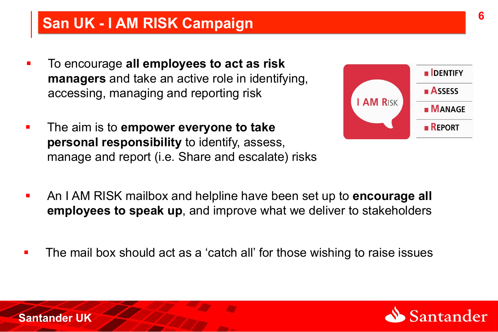### **San UK - I AM RISK Campaign**

- ! To encourage **all employees to act as risk managers** and take an active role in identifying, accessing, managing and reporting risk
- ! The aim is to **empower everyone to take personal responsibility** to identify, assess, manage and report (i.e. Share and escalate) risks



- ! An I AM RISK mailbox and helpline have been set up to **encourage all employees to speak up**, and improve what we deliver to stakeholders
- The mail box should act as a 'catch all' for those wishing to raise issues

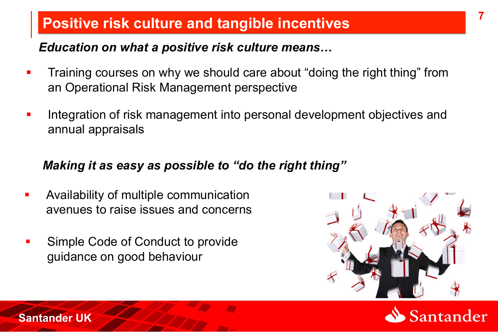### **Positive risk culture and tangible incentives**

#### *Education on what a positive risk culture means…*

- Training courses on why we should care about "doing the right thing" from an Operational Risk Management perspective
- **I.** Integration of risk management into personal development objectives and annual appraisals

#### *Making it as easy as possible to "do the right thing"*

- **EXED:** Availability of multiple communication avenues to raise issues and concerns
- Simple Code of Conduct to provide guidance on good behaviour





**7**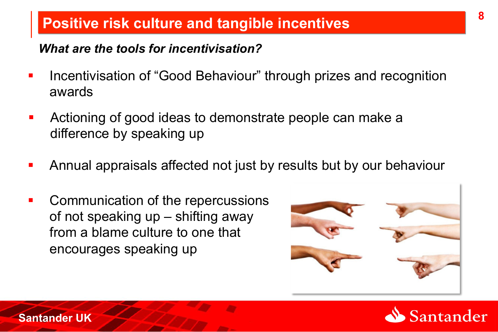### **Positive risk culture and tangible incentives**

#### *What are the tools for incentivisation?*

- **-** Incentivisation of "Good Behaviour" through prizes and recognition awards
- **EXEDEES 12** Actioning of good ideas to demonstrate people can make a difference by speaking up
- **EXT** Annual appraisals affected not just by results but by our behaviour
- **EXECOMMUNICATED COMMUNICATED COMMUNICATED** contracts **Proper** of not speaking up – shifting away from a blame culture to one that encourages speaking up



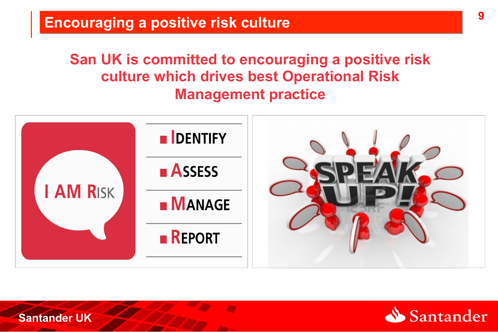### **Encouraging a positive risk culture**

**San UK is committed to encouraging a positive risk culture which drives best Operational Risk Management practice**